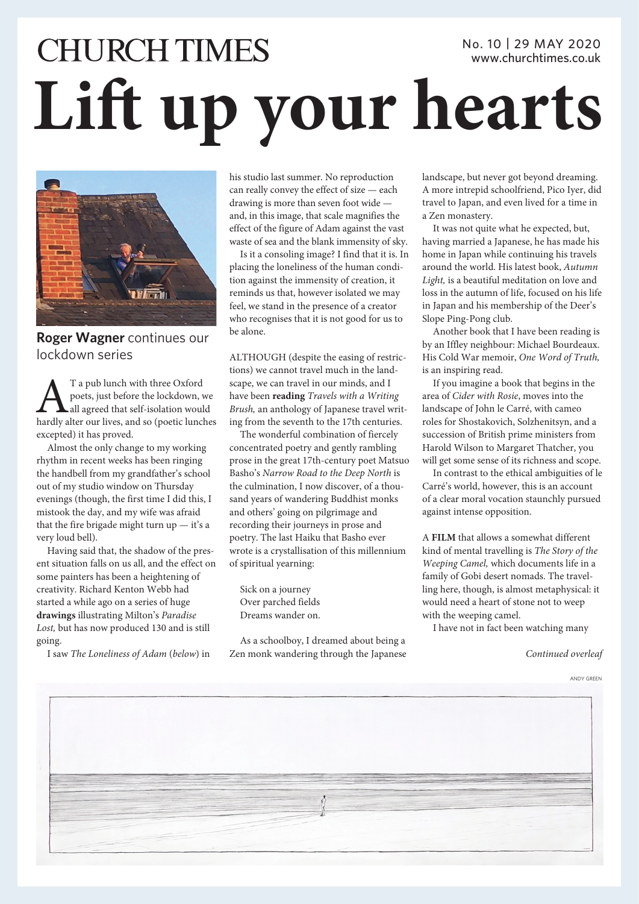## **CHURCH TIMES** No. 10 | 29 MAY 2020 www.churchtimes.co.uk **Lift up your hearts**



**Roger Wagner** continues our lockdown series

AT a pub lunch with three Oxford hardly alter our lives, and so (poetic lunches poets, just before the lockdown, we all agreed that self-isolation would excepted) it has proved.

Almost the only change to my working rhythm in recent weeks has been ringing the handbell from my grandfather's school out of my studio window on Thursday evenings (though, the first time I did this, I mistook the day, and my wife was afraid that the fire brigade might turn  $up - it's a$ very loud bell).

Having said that, the shadow of the present situation falls on us all, and the effect on some painters has been a heightening of creativity. Richard Kenton Webb had started a while ago on a series of huge **drawings** illustrating Milton's *Paradise Lost,* but has now produced 130 and is still going.

I saw *The Loneliness of Adam* (*below*) in

his studio last summer. No reproduction can really convey the effect of size — each drawing is more than seven foot wide and, in this image, that scale magnifies the effect of the figure of Adam against the vast waste of sea and the blank immensity of sky.

Is it a consoling image? I find that it is. In placing the loneliness of the human condition against the immensity of creation, it reminds us that, however isolated we may feel, we stand in the presence of a creator who recognises that it is not good for us to be alone.

ALTHOUGH (despite the easing of restrictions) we cannot travel much in the landscape, we can travel in our minds, and I have been **reading** *Travels with a Writing Brush,* an anthology of Japanese travel writing from the seventh to the 17th centuries.

The wonderful combination of fiercely concentrated poetry and gently rambling prose in the great 17th-century poet Matsuo Basho's *Narrow Road to the Deep North* is the culmination, I now discover, of a thousand years of wandering Buddhist monks and others' going on pilgrimage and recording their journeys in prose and poetry. The last Haiku that Basho ever wrote is a crystallisation of this millennium of spiritual yearning:

Sick on a journey Over parched fields Dreams wander on.

As a schoolboy, I dreamed about being a Zen monk wandering through the Japanese landscape, but never got beyond dreaming. A more intrepid schoolfriend, Pico Iyer, did travel to Japan, and even lived for a time in a Zen monastery.

It was not quite what he expected, but, having married a Japanese, he has made his home in Japan while continuing his travels around the world. His latest book, *Autumn Light,* is a beautiful meditation on love and loss in the autumn of life, focused on his life in Japan and his membership of the Deer's Slope Ping-Pong club.

Another book that I have been reading is by an Iffley neighbour: Michael Bourdeaux. His Cold War memoir, *One Word of Truth,* is an inspiring read.

If you imagine a book that begins in the area of *Cider with Rosie*, moves into the landscape of John le Carré, with cameo roles for Shostakovich, Solzhenitsyn, and a succession of British prime ministers from Harold Wilson to Margaret Thatcher, you will get some sense of its richness and scope.

In contrast to the ethical ambiguities of le Carré's world, however, this is an account of a clear moral vocation staunchly pursued against intense opposition.

A **FILM** that allows a somewhat different kind of mental travelling is *The Story of the Weeping Camel,* which documents life in a family of Gobi desert nomads. The travelling here, though, is almost metaphysical: it would need a heart of stone not to weep with the weeping camel.

I have not in fact been watching many

*Continued overleaf*